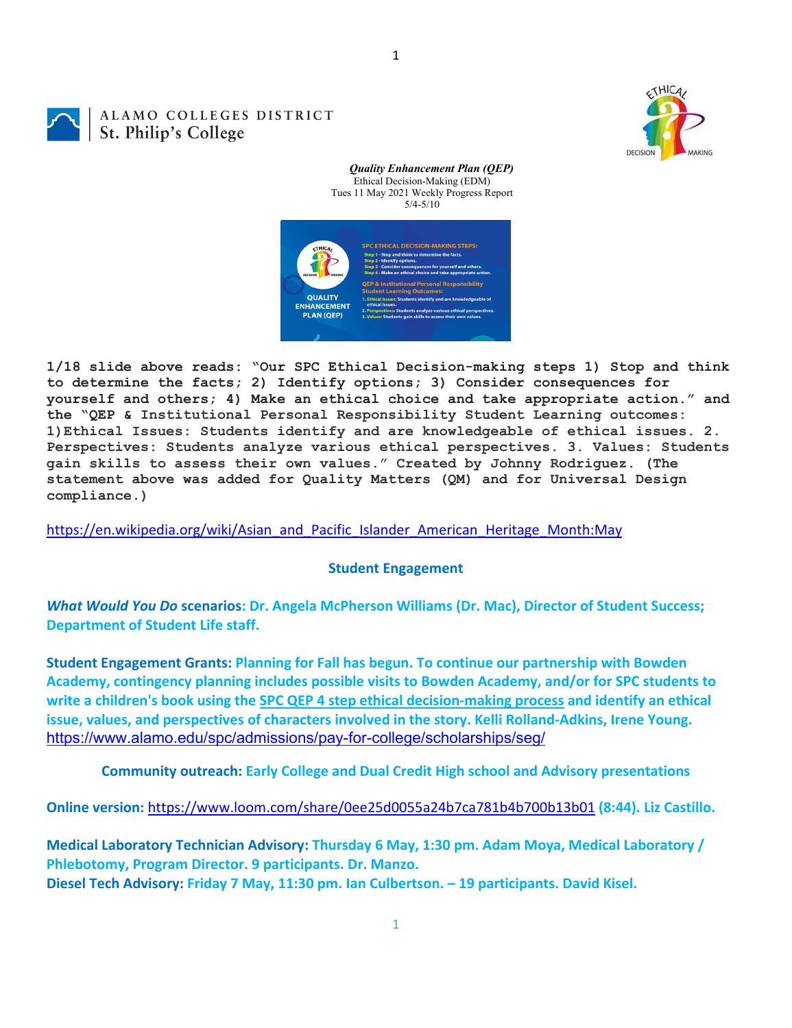$HIC$ DECISION

## ALAMO COLLEGES DISTRICT St. Philip's College



*Quality Enhancement Plan (QEP)* Ethical Decision-Making (EDM)

1

**1/18 slide above reads: "Our SPC Ethical Decision-making steps 1) Stop and think to determine the facts; 2) Identify options; 3) Consider consequences for yourself and others; 4) Make an ethical choice and take appropriate action." and the "QEP & Institutional Personal Responsibility Student Learning outcomes: 1)Ethical Issues: Students identify and are knowledgeable of ethical issues. 2. Perspectives: Students analyze various ethical perspectives. 3. Values: Students gain skills to assess their own values." Created by Johnny Rodriguez. (The statement above was added for Quality Matters (QM) and for Universal Design compliance.)**

[https://en.wikipedia.org/wiki/Asian\\_and\\_Pacific\\_Islander\\_American\\_Heritage\\_Month:May](https://en.wikipedia.org/wiki/Asian_and_Pacific_Islander_American_Heritage_Month:May)

## **Student Engagement**

*What Would You Do* **scenarios: Dr. Angela McPherson Williams (Dr. Mac), Director of Student Success; Department of Student Life staff.**

**Student Engagement Grants: Planning for Fall has begun. To continue our partnership with Bowden Academy, contingency planning includes possible visits to Bowden Academy, and/or for SPC students to write a children's book using the [SPC QEP 4 step ethical decision-making process](https://mail.alamo.edu/owa/redir.aspx?REF=QPGGgOE-3HbbrbCAzqBFQWbtY3e2Gc0f0qSFld99-4hqZWSPr8DYCAFodHRwczovL3d3dy5hbGFtby5lZHUvbGluay8zYjg5NjQxMTY3MGY0YTZlYjU2MzNkNGFmNjE1OTBjNC5hc3B4) and identify an ethical issue, values, and perspectives of characters involved in the story. Kelli Rolland-Adkins, Irene Young.** <https://www.alamo.edu/spc/admissions/pay-for-college/scholarships/seg/>

**Community outreach: Early College and Dual Credit High school and Advisory presentations**

**Online version:** <https://www.loom.com/share/0ee25d0055a24b7ca781b4b700b13b01> **(8:44). Liz Castillo.**

**Medical Laboratory Technician Advisory: Thursday 6 May, 1:30 pm. Adam Moya, Medical Laboratory / Phlebotomy, Program Director. 9 participants. Dr. Manzo. Diesel Tech Advisory: Friday 7 May, 11:30 pm. Ian Culbertson. – 19 participants. David Kisel.**